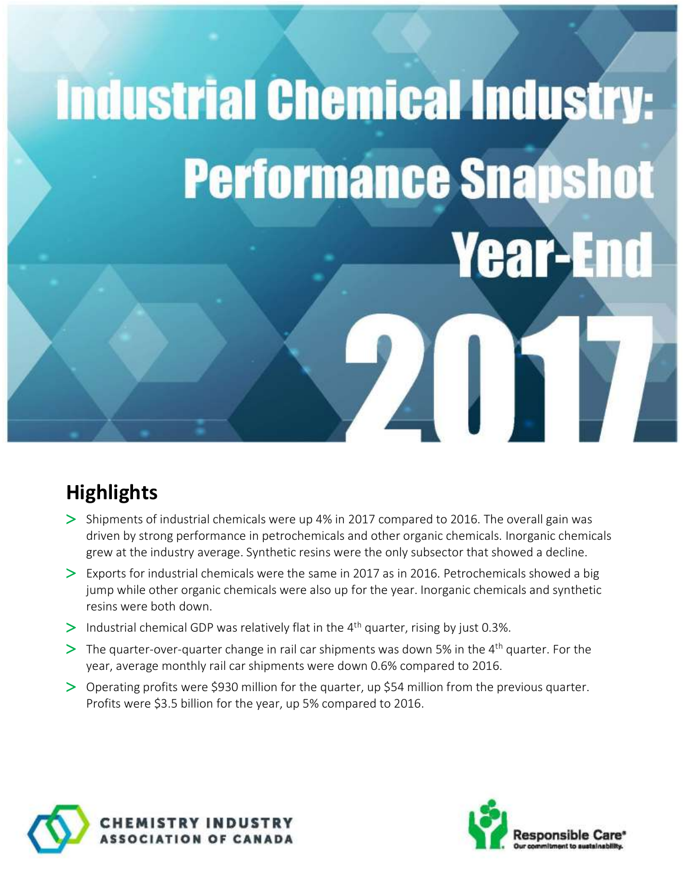# **Industrial Chemical Industry: Performance Snapshot Year-En**

ZA 1

# **Highlights**

- $>$  Shipments of industrial chemicals were up 4% in 2017 compared to 2016. The overall gain was driven by strong performance in petrochemicals and other organic chemicals. Inorganic chemicals grew at the industry average. Synthetic resins were the only subsector that showed a decline.
- $\geq$  Exports for industrial chemicals were the same in 2017 as in 2016. Petrochemicals showed a big jump while other organic chemicals were also up for the year. Inorganic chemicals and synthetic resins were both down.
- $>$  Industrial chemical GDP was relatively flat in the 4<sup>th</sup> quarter, rising by just 0.3%.
- $\geq$  The quarter-over-quarter change in rail car shipments was down 5% in the 4<sup>th</sup> quarter. For the year, average monthly rail car shipments were down 0.6% compared to 2016.
- Operating profits were \$930 million for the quarter, up \$54 million from the previous quarter. Profits were \$3.5 billion for the year, up 5% compared to 2016.





N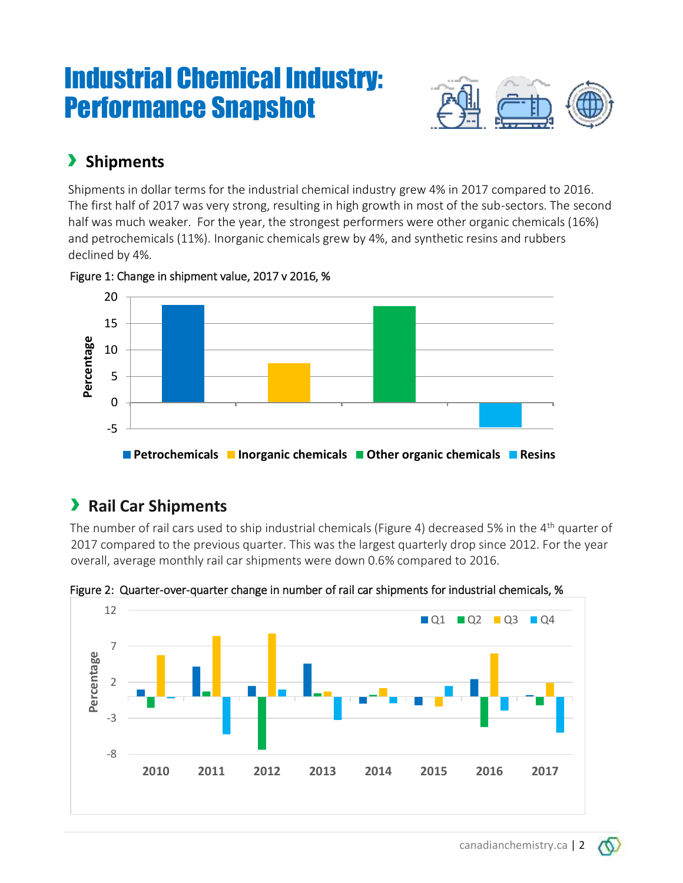# Industrial Chemical Industry: Performance Snapshot



# › **Shipments**

Shipments in dollar terms for the industrial chemical industry grew 4% in 2017 compared to 2016. The first half of 2017 was very strong, resulting in high growth in most of the sub-sectors. The second half was much weaker. For the year, the strongest performers were other organic chemicals (16%) and petrochemicals (11%). Inorganic chemicals grew by 4%, and synthetic resins and rubbers declined by 4%.

Figure 1: Change in shipment value, 2017 v 2016, %



# › **Rail Car Shipments**

The number of rail cars used to ship industrial chemicals (Figure 4) decreased 5% in the  $4<sup>th</sup>$  quarter of 2017 compared to the previous quarter. This was the largest quarterly drop since 2012. For the year overall, average monthly rail car shipments were down 0.6% compared to 2016.



Figure 2: Quarter-over-quarter change in number of rail car shipments for industrial chemicals, %

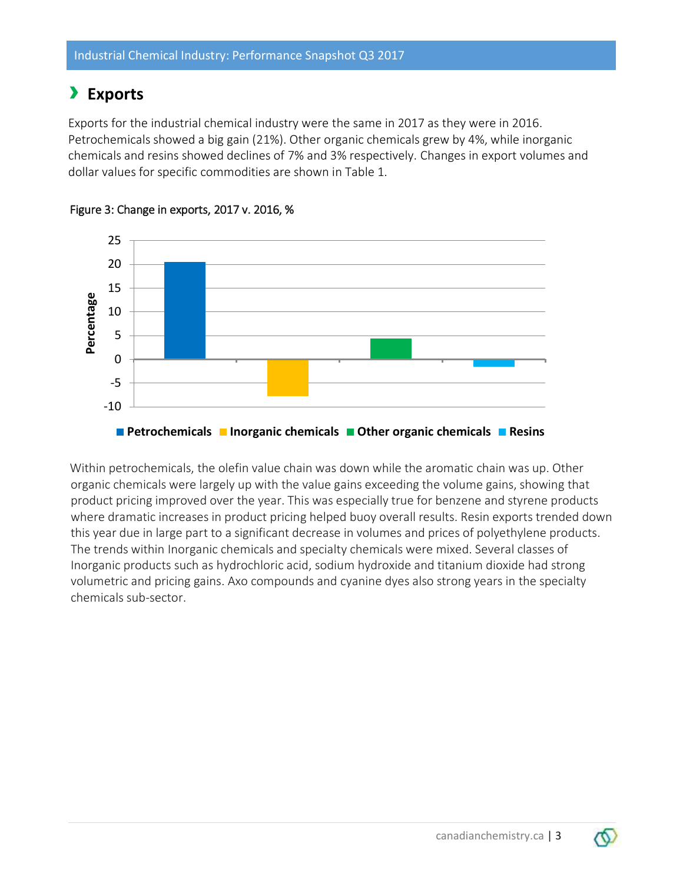# › **Exports**

Exports for the industrial chemical industry were the same in 2017 as they were in 2016. Petrochemicals showed a big gain (21%). Other organic chemicals grew by 4%, while inorganic chemicals and resins showed declines of 7% and 3% respectively. Changes in export volumes and dollar values for specific commodities are shown in Table 1.





Within petrochemicals, the olefin value chain was down while the aromatic chain was up. Other organic chemicals were largely up with the value gains exceeding the volume gains, showing that product pricing improved over the year. This was especially true for benzene and styrene products where dramatic increases in product pricing helped buoy overall results. Resin exports trended down this year due in large part to a significant decrease in volumes and prices of polyethylene products. The trends within Inorganic chemicals and specialty chemicals were mixed. Several classes of Inorganic products such as hydrochloric acid, sodium hydroxide and titanium dioxide had strong volumetric and pricing gains. Axo compounds and cyanine dyes also strong years in the specialty chemicals sub-sector.

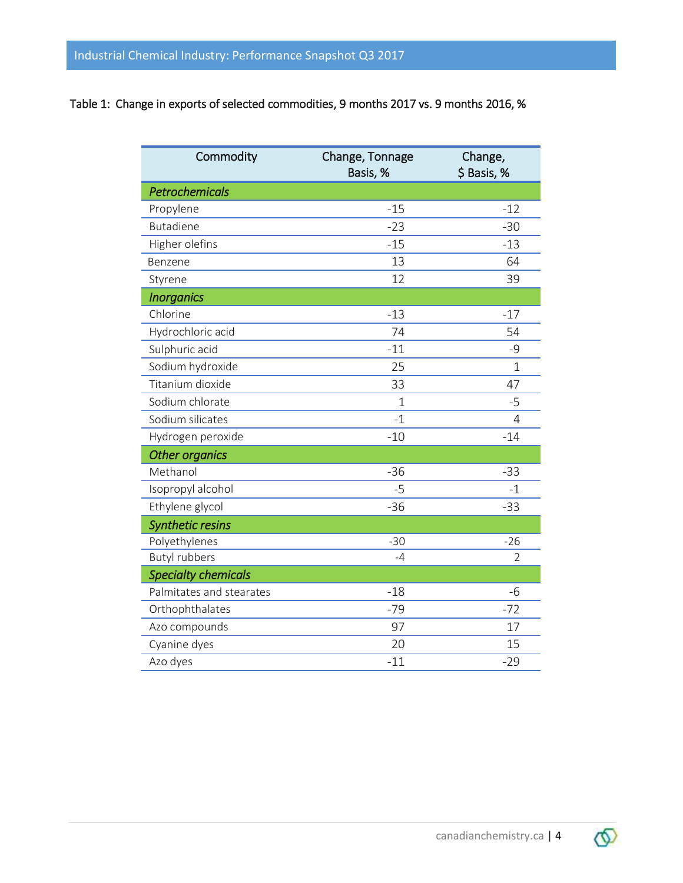#### Table 1: Change in exports of selected commodities, 9 months 2017 vs. 9 months 2016, %

| Commodity                  | Change, Tonnage<br>Basis, % | Change,<br>\$Basis, % |
|----------------------------|-----------------------------|-----------------------|
| <b>Petrochemicals</b>      |                             |                       |
| Propylene                  | $-15$                       | $-12$                 |
| <b>Butadiene</b>           | $-23$                       | $-30$                 |
| Higher olefins             | $-15$                       | $-13$                 |
| Benzene                    | 13                          | 64                    |
| Styrene                    | 12                          | 39                    |
| <b>Inorganics</b>          |                             |                       |
| Chlorine                   | $-13$                       | $-17$                 |
| Hydrochloric acid          | 74                          | 54                    |
| Sulphuric acid             | $-11$                       | -9                    |
| Sodium hydroxide           | 25                          | $\overline{1}$        |
| Titanium dioxide           | 33                          | 47                    |
| Sodium chlorate            | $\mathbf{1}$                | $-5$                  |
| Sodium silicates           | $-1$                        | 4                     |
| Hydrogen peroxide          | $-10$                       | $-14$                 |
| <b>Other organics</b>      |                             |                       |
| Methanol                   | $-36$                       | $-33$                 |
| Isopropyl alcohol          | $-5$                        | $-1$                  |
| Ethylene glycol            | $-36$                       | $-33$                 |
| <b>Synthetic resins</b>    |                             |                       |
| Polyethylenes              | $-30$                       | $-26$                 |
| <b>Butyl rubbers</b>       | $-4$                        | $\mathfrak{D}$        |
| <b>Specialty chemicals</b> |                             |                       |
| Palmitates and stearates   | $-18$                       | $-6$                  |
| Orthophthalates            | $-79$                       | $-72$                 |
| Azo compounds              | 97                          | 17                    |
| Cyanine dyes               | 20                          | 15                    |
| Azo dyes                   | $-11$                       | $-29$                 |

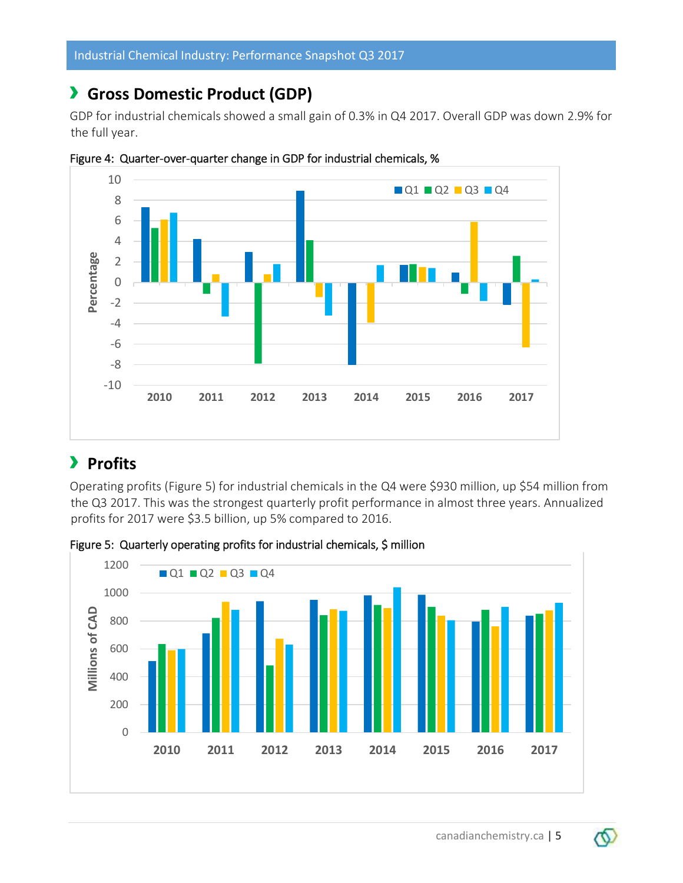## › **Gross Domestic Product (GDP)**

GDP for industrial chemicals showed a small gain of 0.3% in Q4 2017. Overall GDP was down 2.9% for the full year.



Figure 4: Quarter-over-quarter change in GDP for industrial chemicals, %

### › **Profits**

Operating profits (Figure 5) for industrial chemicals in the Q4 were \$930 million, up \$54 million from the Q3 2017. This was the strongest quarterly profit performance in almost three years. Annualized profits for 2017 were \$3.5 billion, up 5% compared to 2016.



Figure 5: Quarterly operating profits for industrial chemicals, \$ million

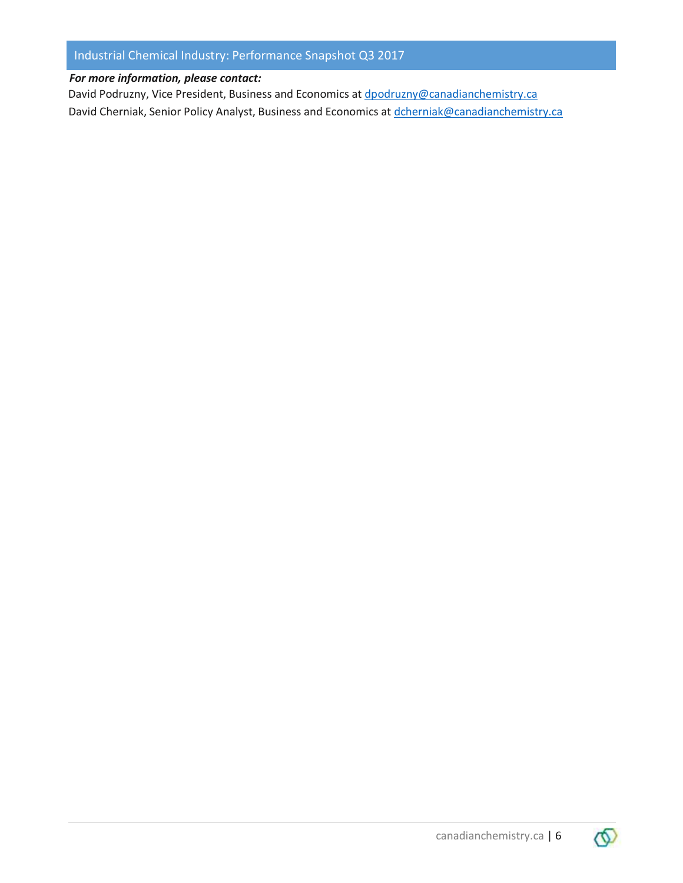#### Industrial Chemical Industry: Performance Snapshot Q3 2017

#### *For more information, please contact:*

David Podruzny, Vice President, Business and Economics at [dpodruzny@canadianchemistry.ca](mailto:dpodruzny@canadianchemistry.ca) David Cherniak, Senior Policy Analyst, Business and Economics at [dcherniak@canadianchemistry.ca](mailto:dcherniak@canadianchemistry.ca)